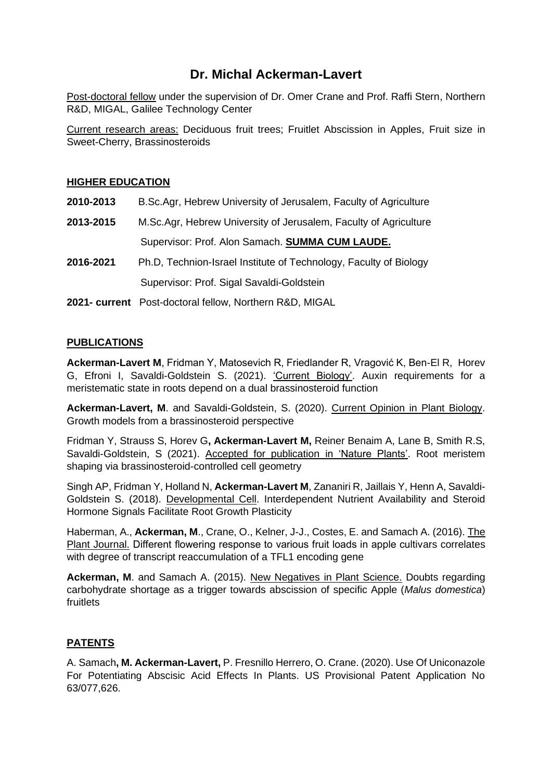# **Dr. Michal Ackerman-Lavert**

Post-doctoral fellow under the supervision of Dr. Omer Crane and Prof. Raffi Stern, Northern R&D, MIGAL, Galilee Technology Center

Current research areas: Deciduous fruit trees; Fruitlet Abscission in Apples, Fruit size in Sweet-Cherry, Brassinosteroids

## **HIGHER EDUCATION**

| 2010-2013 | B.Sc.Agr, Hebrew University of Jerusalem, Faculty of Agriculture  |
|-----------|-------------------------------------------------------------------|
| 2013-2015 | M.Sc.Agr, Hebrew University of Jerusalem, Faculty of Agriculture  |
|           | Supervisor: Prof. Alon Samach. SUMMA CUM LAUDE.                   |
| 2016-2021 | Ph.D, Technion-Israel Institute of Technology, Faculty of Biology |
|           | Supervisor: Prof. Sigal Savaldi-Goldstein                         |
|           | 2021- current Post-doctoral fellow, Northern R&D, MIGAL           |

# **PUBLICATIONS**

**Ackerman-Lavert M**, Fridman Y, Matosevich R, Friedlander R, Vragović K, Ben-El R, Horev G, Efroni I, Savaldi-Goldstein S. (2021). 'Current Biology'. Auxin requirements for a meristematic state in roots depend on a dual brassinosteroid function

**Ackerman-Lavert, M**. and Savaldi-Goldstein, S. (2020). Current Opinion in Plant Biology. Growth models from a brassinosteroid perspective

Fridman Y, Strauss S, Horev G**, Ackerman-Lavert M,** Reiner Benaim A, Lane B, Smith R.S, Savaldi-Goldstein, S (2021). Accepted for publication in 'Nature Plants'. Root meristem shaping via brassinosteroid-controlled cell geometry

Singh AP, Fridman Y, Holland N, **Ackerman-Lavert M**, Zananiri R, Jaillais Y, Henn A, Savaldi-Goldstein S. (2018). Developmental Cell. Interdependent Nutrient Availability and Steroid Hormone Signals Facilitate Root Growth Plasticity

Haberman, A., **Ackerman, M**., Crane, O., Kelner, J-J., Costes, E. and Samach A. (2016). The Plant Journal. Different flowering response to various fruit loads in apple cultivars correlates with degree of transcript reaccumulation of a TFL1 encoding gene

**Ackerman, M**. and Samach A. (2015). New Negatives in Plant Science. Doubts regarding carbohydrate shortage as a trigger towards abscission of specific Apple (*Malus domestica*) fruitlets

# **PATENTS**

A. Samach**, M. Ackerman-Lavert,** P. Fresnillo Herrero, O. Crane. (2020). Use Of Uniconazole For Potentiating Abscisic Acid Effects In Plants. US Provisional Patent Application No 63/077,626.